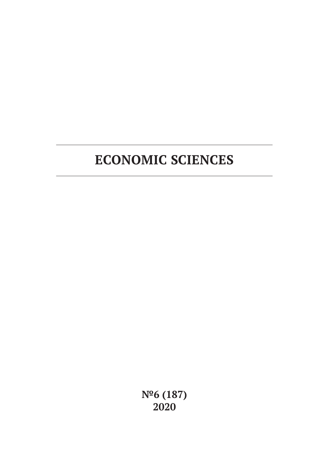# **ECONOMIC SCIENCES**

**№6 (187) 2020**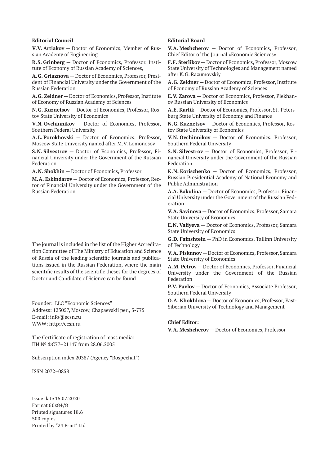#### **Editorial Council**

**V.V. Artiakov** — Doctor of Economics, Member of Russian Academy of Engineering

**R.S. Grinberg** — Doctor of Economics, Professor, Institute of Economy of Russian Academy of Sciences,

**A.G. Griaznova** — Doctor of Economics, Professor, President of Financial University under the Government of the Russian Federation

**A.G. Zeldner** — Doctor of Economics, Professor, Institute of Economy of Russian Academy of Sciences

**N.G. Kuznetsov** — Doctor of Economics, Professor, Rostov State University of Economics

**V.N. Ovchinnikov** — Doctor of Economics, Professor, Southern Federal University

**A.L. Porokhovski** — Doctor of Economics, Professor, Moscow State University named after M.V. Lomonosov

**S.N. Silvestrov** — Doctor of Economics, Professor, Financial University under the Government of the Russian Federation

**A.N. Shokhin** — Doctor of Economics, Professor

**M.A. Eskindarov** — Doctor of Economics, Professor, Rector of Financial University under the Government of the Russian Federation

The journal is included in the list of the Higher Accreditation Committee of The Ministry of Education and Science of Russia of the leading scientific journals and publications issued in the Russian Federation, where the main scientific results of the scientific theses for the degrees of Doctor and Candidate of Science can be found

Founder: LLC "Economic Sciences" Address: 125057, Moscow, Chapaevskii per., 3-775 E-mail: info@ecsn.ru WWW: http://ecsn.ru

The Certificate of registration of mass media: ПИ № ФС77–21147 from 28.06.2005

Subscription index 20387 (Agency "Rospechat")

ISSN 2072–0858

Issue date 15.07.2020 Format 60х84/8 Printed signatures 18.6 500 copies Printed by "24 Print" Ltd

#### **Editorial Board**

**V.A. Meshcherov** — Doctor of Economics, Professor, Chief Editor of the Journal «Economic Sciences»

**F.F. Sterlikov** — Doctor of Economics, Professor, Moscow State University of Technologies and Management named after K.G. Razumovskiy

**A.G. Zeldner** — Doctor of Economics, Professor, Institute of Economy of Russian Academy of Sciences

**E.V. Zarova** — Doctor of Economics, Professor, Plekhanov Russian University of Economics

**A.E. Karlik** — Doctor of Economics, Professor, St.-Petersburg State University of Economy and Finance

**N.G. Kuznetsov** — Doctor of Economics, Professor, Rostov State University of Economics

**V.N. Ovchinnikov** — Doctor of Economics, Professor, Southern Federal University

**S.N. Silvestrov** — Doctor of Economics, Professor, Financial University under the Government of the Russian Federation

**K.N. Korischenko** — Doctor of Economics, Professor, Russian Presidential Academy of National Economy and Public Administration

**A.A. Bakulina** — Doctor of Economics, Professor, Financial University under the Government of the Russian Federation

**V.A. Savinova** — Doctor of Economics, Professor, Samara State University of Economics

**E.N. Valiyeva** — Doctor of Economics, Professor, Samara State University of Economics

**G.D. Fainshtein** — PhD in Economics, Tallinn University of Technology

**V.A. Piskunov** — Doctor of Economics, Professor, Samara State University of Economics

**A.M. Petrov** — Doctor of Economics, Professor, Financial University under the Government of the Russian Federation

**P.V. Pavlov** — Doctor of Economics, Associate Professor, Southern Federal University

**O.A. Khokhlova** — Doctor of Economics, Professor, East-Siberian University of Technology and Management

#### **Chief Editor:**

**V.A. Meshcherov** — Doctor of Economics, Professor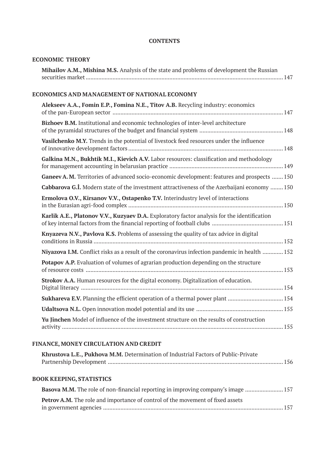### **CONTENTS**

### **ECONOMIC THEORY**

| Mihailov A.M., Mishina M.S. Analysis of the state and problems of development the Russian |  |
|-------------------------------------------------------------------------------------------|--|
|                                                                                           |  |

# **ECONOMICS AND MANAGEMENT OF NATIONAL ECONOMY**

| Alekseev A.A., Fomin E.P., Fomina N.E., Titov A.B. Recycling industry: economics                    |
|-----------------------------------------------------------------------------------------------------|
| Bizhoev B.M. Institutional and economic technologies of inter-level architecture                    |
| Vasilchenko M.Y. Trends in the potential of livestock feed resources under the influence            |
| Galkina M.N., Bukhtik M.I., Kievich A.V. Labor resources: classification and methodology            |
| Ganeev A.M. Territories of advanced socio-economic development: features and prospects  150         |
| <b>Cabbarova G.I.</b> Modern state of the investment attractiveness of the Azerbaijani economy  150 |
| Ermolova O.V., Kirsanov V.V., Ostapenko T.V. Interindustry level of interactions                    |
| Karlik A.E., Platonov V.V., Kuzyaev D.A. Exploratory factor analysis for the identification         |
| Knyazeva N.V., Pavlova K.S. Problems of assessing the quality of tax advice in digital              |
| Niyazova I.M. Conflict risks as a result of the coronavirus infection pandemic in health  152       |
| Potapov A.P. Evaluation of volumes of agrarian production depending on the structure                |
| Strokov A.A. Human resources for the digital economy. Digitalization of education.                  |
| Sukhareva E.V. Planning the efficient operation of a thermal power plant  154                       |
|                                                                                                     |
| Yu Jinchen Model of influence of the investment structure on the results of construction            |

# **FINANCE, MONEY CIRCULATION AND CREDIT**

| Khrustova L.E., Pukhova M.M. Determination of Industrial Factors of Public-Private       |  |
|------------------------------------------------------------------------------------------|--|
| <b>BOOK KEEPING, STATISTICS</b>                                                          |  |
| <b>Basova M.M.</b> The role of non-financial reporting in improving company's image  157 |  |
| <b>Petrov A.M.</b> The role and importance of control of the movement of fixed assets    |  |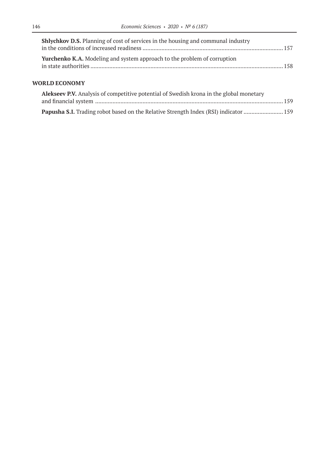| <b>Shlychkov D.S.</b> Planning of cost of services in the housing and communal industry |  |
|-----------------------------------------------------------------------------------------|--|
|                                                                                         |  |
| <b>Yurchenko K.A.</b> Modeling and system approach to the problem of corruption         |  |

### **WORLD ECONOMY**

| <b>Alekseev P.V.</b> Analysis of competitive potential of Swedish krona in the global monetary |  |
|------------------------------------------------------------------------------------------------|--|
|                                                                                                |  |
|                                                                                                |  |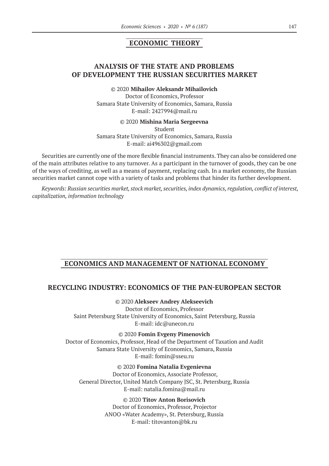# **ECONOMIC THEORY**

## **ANALYSIS OF THE STATE AND PROBLEMS OF DEVELOPMENT THE RUSSIAN SECURITIES MARKET**

© 2020 **Mihailov Aleksandr Mihailovich**

Doctor of Economics, Professor Samara State University of Economics, Samara, Russia E-mail: 2427994@mail.ru

© 2020 **Mishina Maria Sergeevna**

Student Samara State University of Economics, Samara, Russia E-mail: ai496302@gmail.com

Securities are currently one of the more flexible financial instruments. They can also be considered one of the main attributes relative to any turnover. As a participant in the turnover of goods, they can be one of the ways of crediting, as well as a means of payment, replacing cash. In a market economy, the Russian securities market cannot cope with a variety of tasks and problems that hinder its further development.

*Keywords: Russian securities market, stock market, securities, index dynamics, regulation, conflict of interest, capitalization, information technology*

### **ECONOMICS AND MANAGEMENT OF NATIONAL ECONOMY**

### **RECYCLING INDUSTRY: ECONOMICS OF THE PAN-EUROPEAN SECTOR**

© 2020 **Alekseev Andrey Alekseevich**

Doctor of Economics, Professor Saint Petersburg State University of Economics, Saint Petersburg, Russia E-mail: idc@unecon.ru

© 2020 **Fomin Evgeny Pimenovich**

Doctor of Economics, Professor, Head of the Department of Taxation and Audit Samara State University of Economics, Samara, Russia E-mail: fomin@sseu.ru

© 2020 **Fomina Natalia Evgenievna**

Doctor of Economics, Associate Professor, General Director, United Match Company JSC, St. Petersburg, Russia E-mail: natalia.fomina@mail.ru

> © 2020 **Titov Anton Borisovich** Doctor of Economics, Professor, Projector ANOO «Water Academy», St. Petersburg, Russia E-mail: titovanton@bk.ru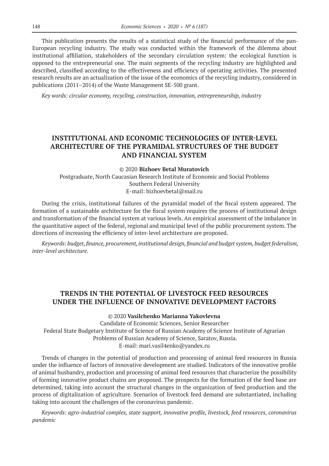This publication presents the results of a statistical study of the financial performance of the pan-European recycling industry. The study was conducted within the framework of the dilemma about institutional affiliation, stakeholders of the secondary circulation system: the ecological function is opposed to the entrepreneurial one. The main segments of the recycling industry are highlighted and described, classified according to the effectiveness and efficiency of operating activities. The presented research results are an actualization of the issue of the economics of the recycling industry, considered in publications (2011–2014) of the Waste Management SE-500 grant.

*Key words: circular economy, recycling, construction, innovation, entrepreneurship, industry*

# **INSTITUTIONAL AND ECONOMIC TECHNOLOGIES OF INTER-LEVEL ARCHITECTURE OF THE PYRAMIDAL STRUCTURES OF THE BUDGET AND FINANCIAL SYSTEM**

#### © 2020 **Bizhoev Betal Muratovich**

Postgraduate, North Caucasian Research Institute of Economic and Social Problems Southern Federal University E-mail: bizhoevbetal@mail.ru

During the crisis, institutional failures of the pyramidal model of the fiscal system appeared. The formation of a sustainable architecture for the fiscal system requires the process of institutional design and transformation of the financial system at various levels. An empirical assessment of the imbalance in the quantitative aspect of the federal, regional and municipal level of the public procurement system. The directions of increasing the efficiency of inter-level architecture are proposed.

*Keywords: budget, finance, procurement, institutional design, financial and budget system, budget federalism, inter-level architecture.*

### **TRENDS IN THE POTENTIAL OF LIVESTOCK FEED RESOURCES UNDER THE INFLUENCE OF INNOVATIVE DEVELOPMENT FACTORS**

© 2020 **Vasilchenko Мarianna Yakovlevna**

Сandidate of Economic Sciences, Senior Researcher Federal State Budgetary Institute of Science of Russian Academy of Science Institute of Agrarian Problems of Russian Academy of Science, Saratov, Russia. E-mail: mari.vasil4enko@yandex.ru

Trends of changes in the potential of production and processing of animal feed resources in Russia under the influence of factors of innovative development are studied. Indicators of the innovative profile of animal husbandry, production and processing of animal feed resources that characterize the possibility of forming innovative product chains are proposed. The prospects for the formation of the feed base are determined, taking into account the structural changes in the organization of feed production and the process of digitalization of agriculture. Scenarios of livestock feed demand are substantiated, including taking into account the challenges of the coronavirus pandemic.

*Keywords: agro-industrial complex, state support, innovative profile, livestock, feed resources, coronavirus pandemic*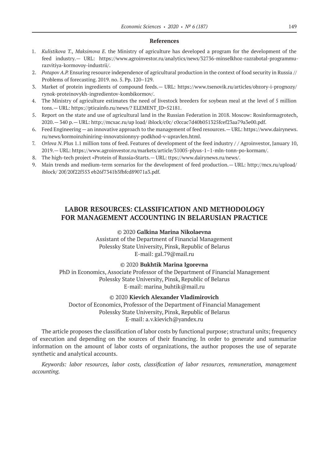- 1. *Kulistikova T., Maksimova E.* the Ministry of agriculture has developed a program for the development of the feed industry.— URL: https://www.agroinvestor.ru/analytics/news/32736‑minselkhoz-razrabotal-programmurazvitiya-kormovoy-industrii/.
- 2. *Potapov A.P.* Ensuring resource independence of agricultural production in the context of food security in Russia // Problems of forecasting. 2019. no. 5. Pp. 120–129.
- 3. Market of protein ingredients of compound feeds.— URL: https://www.tsenovik.ru/articles/obzory-i-prognozy/ rynok-proteinovykh-ingredientov-kombikormov/.
- 4. The Ministry of agriculture estimates the need of livestock breeders for soybean meal at the level of 5 million tons.— URL: https://pticainfo.ru/news/? ELEMENT\_ID=52181.
- 5. Report on the state and use of agricultural land in the Russian Federation in 2018. Moscow: Rosinformagrotech, 2020.— 340 p.— URL: http://mcxac.ru/up load/ iblock/c0c/ c0ccac7d40b051325fcef23aa79a3e00.pdf.
- 6. Feed Engineering an innovative approach to the management of feed resources.— URL: https://www.dairynews. ru/news/kormoinzhiniring-innovatsionnyy-podkhod-v-upravlen.html.
- 7. *Orlova N.*Plus 1.1 million tons of feed. Features of development of the feed industry / / Agroinvestor, January 10, 2019.— URL: https://www.agroinvestor.ru/markets/article/31005‑plyus‑1–1‑mln-tonn-po-kormam/.
- 8. The high-tech project «Protein of Russia»Starts.— URL: ttps://www.dairynews.ru/news/.
- 9. Main trends and medium-term scenarios for the development of feed production.— URL: http://mcx.ru/upload/ iblock/ 20f/20f22f553 eb26f7341b3fbfcd89071a3.pdf.

# **LABOR RESOURCES: CLASSIFICATION AND METHODOLOGY FOR MANAGEMENT ACCOUNTING IN BELARUSIAN PRACTICE**

### © 2020 **Galkina Marina Nikolaevna**

Assistant of the Department of Financial Management Polessky State University, Pinsk, Republic of Belarus Е-mail: gal.79@mail.ru

#### © 2020 **Bukhtik Marina Igorevna**

PhD in Economics, Associate Professor of the Department of Financial Management Polessky State University, Pinsk, Republic of Belarus Е-mail: marina\_buhtik@mail.ru

### © 2020 **Kievich Alexander Vladimirovich**

Doctor of Economics, Professor of the Department of Financial Management Polessky State University, Pinsk, Republic of Belarus E-mail: a.v.kievich@yandex.ru

The article proposes the classification of labor costs by functional purpose; structural units; frequency of execution and depending on the sources of their financing. In order to generate and summarize information on the amount of labor costs of organizations, the author proposes the use of separate synthetic and analytical accounts.

*Keywords: labor resources, labor costs, classification of labor resources, remuneration, management accounting.*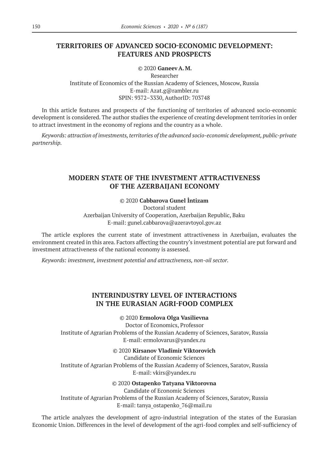### **TERRITORIES OF ADVANCED SOCIO-ECONOMIC DEVELOPMENT: FEATURES AND PROSPECTS**

© 2020 **Ganeev A.M.**

Researcher Institute of Economics of the Russian Academy of Sciences, Moscow, Russia E-mail: Azat.g@rambler.ru SPIN: 9372–3330, AuthorID: 703748

In this article features and prospects of the functioning of territories of advanced socio-economic development is considered. The author studies the experience of creating development territories in order to attract investment in the economy of regions and the country as a whole.

*Keywords: attraction of investments, territories of the advanced socio-economic development, public-private partnership.*

# **MODERN STATE OF THE INVESTMENT ATTRACTIVENESS OF THE AZERBAIJANI ECONOMY**

### © 2020 **Cabbarova Gunel İntizam**

Doctoral student Azerbaijan University of Cooperation, Azerbaijan Republic, Baku E-mail: gunel.cabbarova@azeravtoyol.gov.az

The article explores the current state of investment attractiveness in Azerbaijan, evaluates the environment created in this area. Factors affecting the country's investment potential are put forward and investment attractiveness of the national economy is assessed.

*Keywords: investment, investment potential and attractiveness, non-oil sector.*

### **INTERINDUSTRY LEVEL OF INTERACTIONS IN THE EURASIAN AGRI-FOOD COMPLEX**

© 2020 **Ermolova Olga Vasilievna**

Doctor of Economics, Professor Institute of Agrarian Problems of the Russian Academy of Sciences, Saratov, Russia E-mail: ermolovarus@yandex.ru

© 2020 **Kirsanov Vladimir Viktorovich**

Candidate of Economic Sciences Institute of Agrarian Problems of the Russian Academy of Sciences, Saratov, Russia E-mail: vkirs@yandex.ru

### © 2020 **Ostapenko Тatyana Viktorovna**

Candidate of Economic Sciences Institute of Agrarian Problems of the Russian Academy of Sciences, Saratov, Russia E-mail: tanya\_ostapenko\_76@mail.ru

The article analyzes the development of agro-industrial integration of the states of the Eurasian Economic Union. Differences in the level of development of the agri-food complex and self-sufficiency of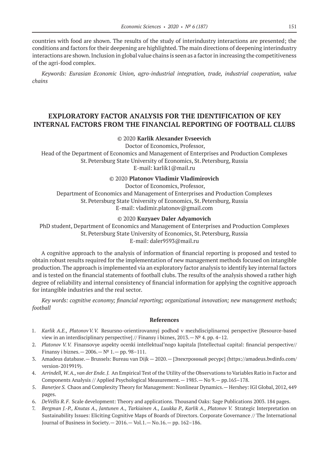countries with food are shown. The results of the study of interindustry interactions are presented; the conditions and factors for their deepening are highlighted. The main directions of deepening interindustry interactions are shown. Inclusion in global value chains is seen as a factor in increasing the competitiveness of the agri-food complex.

*Keywords: Eurasian Economic Union, agro-industrial integration, trade, industrial cooperation, value chains*

# **EXPLORATORY FACTOR ANALYSIS FOR THE IDENTIFICATION OF KEY INTERNAL FACTORS FROM THE FINANCIAL REPORTING OF FOOTBALL CLUBS**

### © 2020 **Karlik Alexander Evseevich**

Doctor of Economics, Professor,

Head of the Department of Economics and Management of Enterprises and Production Complexes St.Petersburg State University of Economics, St.Petersburg, Russia E-mail: karlik1@mail.ru

#### © 2020 **Platonov Vladimir Vladimirovich**

Doctor of Economics, Professor,

Department of Economics and Management of Enterprises and Production Complexes St.Petersburg State University of Economics, St.Petersburg, Russia E-mail: vladimir.platonov@gmail.com

#### © 2020 **Kuzyaev Daler Adyamovich**

PhD student, Department of Economics and Management of Enterprises and Production Complexes St.Petersburg State University of Economics, St.Petersburg, Russia E-mail: daler9593@mail.ru

A cognitive approach to the analysis of information of financial reporting is proposed and tested to obtain robust results required for the implementation of new management methods focused on intangible production. The approach is implemented via an exploratory factor analysis to identify key internal factors and is tested on the financial statements of football clubs. The results of the analysis showed a rather high degree of reliability and internal consistency of financial information for applying the cognitive approach for intangible industries and the real sector.

*Key words: cognitive economy; financial reporting; organizational innovation; new management methods; football*

#### **References**

- 1. *Karlik A.E., PlatonovV.V.* Resursno-orientirovannyj podhod v mezhdisciplinarnoj perspective [Resource-based view in an interdisciplinary perspective] // Finansy i biznes,  $2013 - N^{\circ}4$ . pp. 4–12.
- 2. *Platonov V.V.* Finansovye aspekty ocenki intellektual'nogo kapitala [Intellectual capital: financial perspective// Finansy i biznes.— 2006.—№ 1.— pp. 98–111.
- 3. Amadeus database.— Brussels: Bureau van Dijk 2020.— [Электронный ресурс] (https://amadeus.bvdinfo.com/ version-2019919).
- 4. *Arrindell, W. A., van der Ende. J.* An Empirical Test of the Utility of the Observations to Variables Ratio in Factor and Components Analysis // Applied Psychological Measurement.— 1985.— No 9.— pp.165–178.
- 5. *Banerjee S.* Chaos and Complexity Theory for Management: Nonlinear Dynamics.— Hershey: IGI Global, 2012, 449 pages.
- 6. *DeVellis R.F.* Scale development: Theory and applications. Thousand Oaks: Sage Publications 2003. 184 pages.
- 7. *Bergman J.-P., Knutas A., Jantunen A., Tarkiainen A., Luukka P., Karlik A., Platonov V.* Strategic Interpretation on Sustainability Issues: Eliciting Cognitive Maps of Boards of Directors. Corporate Governance // The International Journal of Business in Society.— 2016.— Vol.1.— No.16.— pp. 162–186.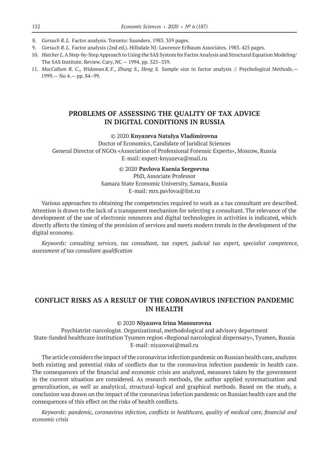- 8. *Gorsuch R.L.* Factor analysis. Toronto: Saunders. 1983. 359 pages.
- 9. *Gorsuch R.L.* Factor analysis (2nd ed.). Hillsdale NJ: Lawrence Erlbaum Associates. 1983. 425 pages.
- 10. *Hatcher L.* A Step-by-Step Approach to Using the SAS System for Factor Analysis and Structural Equation Modeling/ The SAS Institute. Review. Cary, NC — 1994. pp. 325–339.
- 11. *MacCallum R. C., Widaman K.F., Zhang S., Hong S.* Sample size in factor analysis // Psychological Methods.— 1999.— No 4.— pp. 84–99.

### **PROBLEMS OF ASSESSING THE QUALITY OF TAX ADVICE IN DIGITAL CONDITIONS IN RUSSIA**

### © 2020 **Knyazeva Natalya Vladimirovna**

Doctor of Economics, Candidate of Juridical Sciences General Director of NGOs «Association of Professional Forensic Experts», Moscow, Russia E-mail: expert-knyazeva@mail.ru

#### © 2020 **Pavlova Ksenia Sergeevna**

PhD, Associate Professor Samara State Economic University, Samara, Russia E-mail: mrs.pavlova@list.ru

Various approaches to obtaining the competencies required to work as a tax consultant are described. Attention is drawn to the lack of a transparent mechanism for selecting a consultant. The relevance of the development of the use of electronic resources and digital technologies in activities is indicated, which directly affects the timing of the provision of services and meets modern trends in the development of the digital economy.

*Keywords: consulting services, tax consultant, tax expert, judicial tax expert, specialist competence, assessment of tax consultant qualification*

### **CONFLICT RISKS AS A RESULT OF THE CORONAVIRUS INFECTION PANDEMIC IN HEALTH**

#### © 2020 **Niyazova Irina Mansurovna**

Psychiatrist-narcologist. Organizational, methodological and advisory department State-funded healthcare institution Tyumen region «Regional narcological dispensary», Tyumen, Russia E-mail: niyazovai@mail.ru

The article considers the impact of the coronavirus infection pandemic on Russian health care, analyzes both existing and potential risks of conflicts due to the coronavirus infection pandemic in health care. The consequences of the financial and economic crisis are analyzed, measures taken by the government in the current situation are considered. As research methods, the author applied systematization and generalization, as well as analytical, structural-logical and graphical methods. Based on the study, a conclusion was drawn on the impact of the coronavirus infection pandemic on Russian health care and the consequences of this effect on the risks of health conflicts.

*Keywords: pandemic, coronavirus infection, conflicts in healthcare, quality of medical care, financial and economic crisis*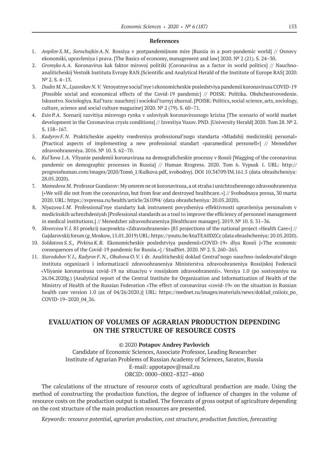- 1. *Anpilov S.M., SorochajkinA.N.* Rossiya v postpandemijnom mire [Russia in a post-pandemic world] // Osnovy ekonomiki, upravleniya i prava. [The Basics of economy, management and law] 2020. № 2 (21). S. 24–30.
- 2. *GromykoA.A.* Koronavirus kak faktor mirovoj politiki [Coronavirus as a factor in world politics] // Nauchnoanaliticheskij Vestnik Instituta Evropy RAN.[Scientific and Analytical Herald of the Institute of Europe RAS] 2020. № 2. S. 4–13.
- 3. *Dudin M.N., Lyasnikov N.V.* Veroyatnye social'nye i ekonomicheskie posledstviya pandemii koronavirusa COVID‑19 [Possible social and economical effects of the Covid-19 pandemic] // POISK: Politika. Obshchestvovedenie. Iskusstvo. Sociologiya. Kul'tura: nauchnyj i sociokul'turnyj zhurnal. [POISK: Politics, social science, arts, sociology, culture, science and social culture magazine] 2020. № 2 (79). S. 60–71.
- 4. *Esin P.A.* Scenarij razvitiya mirovogo rynka v usloviyah koronavirusnogo krizisa [The scenario of world market development in the Coronavirus crysis conditions] // Izvestiya Vuzov. PND. [University Herald] 2020. Tom 28. № 2. S. 158–167.
- 5. *Kadyrov F.N.* Prakticheskie aspekty vnedreniya professional'nogo standarta «Mladshij medicinskij personal» [Practical aspects of implementing a new professional standart «paramedical personell»] // Menedzher zdravoohraneniya. 2016. № 10. S. 62–70.
- 6. *Kul'kova I.A*. Vliyanie pandemii koronavirusa na demograficheskie processy v Rossii [Wagging of the coronavirus pandemic on demographic processes in Russia] // Human Rrogress. 2020. Tom 6. Vypusk 1. URL: http:// progresshuman.com/images/2020/Tom6\_1/Kulkova.pdf, svobodnyj. DOI 10.34709/IM.161.5 (data obrashcheniya: 28.05.2020).
- 7. *Mamedova M.* Professor Gundarov: My umrem ne ot koronavirusa, a ot straha i unichtozhennogo zdravoohraneniya [«We will die not from the coronavirus, but from fear and destroyed healthcare.»] // Svobodnaya pressa, 30 marta 2020. URL: https://svpressa.ru/health/article/261094/ (data obrashcheniya: 20.05.2020).
- 8. *Niyazova I.M.* Professional'nye standarty kak instrument povysheniya effektivnosti upravleniya personalom v medicinskih uchrezhdeniyah [Professional standards as a tool to improve the efficiency of personnel management in medical institutions.] // Menedzher zdravoohraneniya [Healthcare manager]. 2019. № 10. S. 31–36.
- 9. *Skvorcova V.I.* 85 proekcij nacproekta «Zdravoohranenie» [85 projections of the national project «Health Care»] // Gajdarovskij forum (g. Moskow, 15.01.2019) URL: https://youtu.be/k6aTEA0DZCc (data obrashcheniya: 20.05.2020).
- 10. *Soldatova S.S., Pivkina K.R.* Ekonomicheskie posledstviya pandemii«COVID‑19» dlya Rossii [«The economic consequences of the Covid‑19 pandemic for Russia.»] / StudNet. 2020. № 2. S. 260–265.
- 11. *StarodubovV.I., Kadyrov F.N., Obuhova O.V.* i dr. Analiticheskij doklad Central'nogo nauchno-issledovatel'skogo instituta organizacii i informatizacii zdravoohraneniya Ministerstva zdravoohraneniya Rossijskoj Federacii «Vliyanie koronavirusa covid‑19 na situaciyu v rossijskom zdravoohranenii». Versiya 1.0 (po sostoyaniyu na 26.04.2020g.) [Analytical report of the Central Institute for Organization and Informatization of Health of the Ministry of Health of the Russian Federation «The effect of coronavirus «covid-19» on the situation in Russian health care version 1.0 (as of 04/26/2020.)] URL: https://mednet.ru/images/materials/news/doklad cniioiz po COVID-19-2020\_04\_26.

### **EVALUATION OF VOLUMES OF AGRARIAN PRODUCTION DEPENDING ON THE STRUCTURE OF RESOURCE COSTS**

#### © 2020 **Potapov Andrey Pavlovich**

Candidate of Economic Sciences, Associate Professor, Leading Researcher Institute of Agrarian Problems of Russian Academy of Sciences, Saratov, Russia E-mail: appotapov@mail.ru ORCID: 0000–0002–8327–4060

The calculations of the structure of resource costs of agricultural production are made. Using the method of constructing the production function, the degree of influence of changes in the volume of resource costs on the production output is studied. The forecasts of gross output of agriculture depending on the cost structure of the main production resources are presented.

*Keywords: resource potential, agrarian production, cost structure, production function, forecasting*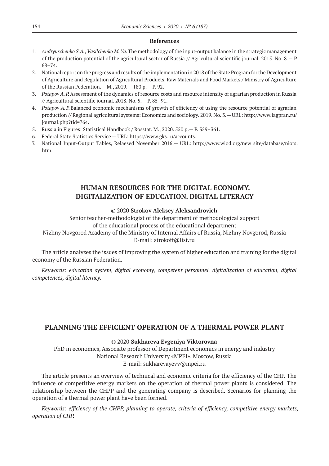- 1. *Andryuschenko S.A., Vasilchenko M.Ya.*The methodology of the input-output balance in the strategic management of the production potential of the agricultural sector of Russia // Agricultural scientific journal. 2015. No. 8.— P. 68–74.
- 2. National report on the progress and results of the implementation in 2018 of the State Program for the Development of Agriculture and Regulation of Agricultural Products, Raw Materials and Food Markets / Ministry of Agriculture of the Russian Federation.— M., 2019.— 180 p.— P. 92.
- 3. *Potapov A.P.*Assessment of the dynamics of resource costs and resource intensity of agrarian production in Russia // Agricultural scientific journal. 2018. No. 5.— P. 85–91.
- 4. *Potapov A.P.*Balanced economic mechanisms of growth of efficiency of using the resource potential of agrarian production // Regional agricultural systems: Economics and sociology. 2019. No. 3.— URL: http://www.iagpran.ru/ journal.php?tid=764.
- 5. Russia in Figures: Statistical Handbook / Rosstat. М., 2020. 550 p.— P. 359–361.
- 6. Federal State Statistics Service URL: https://www.gks.ru/accounts.
- 7. National Input-Output Tables, Relaesed November 2016.— URL: http://www.wiod.org/new\_site/database/niots. htm.

# **HUMAN RESOURCES FOR THE DIGITAL ECONOMY. DIGITALIZATION OF EDUCATION. DIGITAL LITERACY**

### © 2020 **Strokov Aleksey Aleksandrovich**

Senior teacher-methodologist of the department of methodological support of the educational process of the educational department

Nizhny Novgorod Academy of the Ministry of Internal Affairs of Russia, Nizhny Novgorod, Russia E-mail: strokoff@list.ru

The article analyzes the issues of improving the system of higher education and training for the digital economy of the Russian Federation.

*Keywords: education system, digital economy, competent personnel, digitalization of education, digital competences, digital literacy.*

### **PLANNING THE EFFICIENT OPERATION OF A THERMAL POWER PLANT**

#### © 2020 **Sukhareva Evgeniya Viktorovna**

PhD in economics, Associate professor of Department economics in energy and industry National Research University «MPEI», Moscow, Russia E-mail: sukharevayevv@mpei.ru

The article presents an overview of technical and economic criteria for the efficiency of the CHP. The influence of competitive energy markets on the operation of thermal power plants is considered. The relationship between the CHPP and the generating company is described. Scenarios for planning the operation of a thermal power plant have been formed.

*Keywords: efficiency of the CHPP, planning to operate, criteria of efficiency, competitive energy markets, operation of CHP.*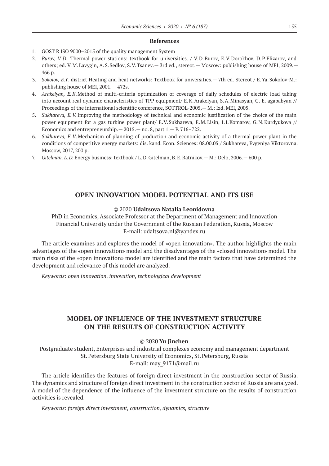- 1. GOST R ISO 9000–2015 of the quality management System
- 2. *Burov, V.D*. Thermal power stations: textbook for universities. / V.D.Burov, E.V.Dorokhov, D.P.Elizarov, and others; ed. V.M.Lavygin, A.S.Sedlov, S.V.Tsanev.— 3rd ed., stereot.— Moscow: publishing house of MEI, 2009.— 466 p.
- 3. *Sokolov, E.Y*. district Heating and heat networks: Textbook for universities.— 7th ed. Stereot / E.Ya.Sokolov-M.: publishing house of MEI, 2001.— 472s.
- 4. *Arakelyan, E.K*.Method of multi-criteria optimization of coverage of daily schedules of electric load taking into account real dynamic characteristics of TPP equipment/ E.K.Arakelyan, S.A.Minasyan, G. E. agababyan // Proceedings of the international scientific conference, SOTTROL-2005, - M.: Izd. MEI, 2005.
- 5. *Sukhareva, E.V.*Improving the methodology of technical and economic justification of the choice of the main power equipment for a gas turbine power plant/ E.V.Sukhareva, E.M.Lisin, I.I.Komarov, G.N.Kurdyukova // Economics and entrepreneurship.  $-2015$ .  $-$  no. 8, part  $1$ .  $-$  P. 716–722.
- 6. *Sukhareva, E.V*.Mechanism of planning of production and economic activity of a thermal power plant in the conditions of competitive energy markets: dis. kand. Econ. Sciences: 08.00.05 / Sukhareva, Evgeniya Viktorovna. Moscow, 2017, 200 p.
- 7. *Gitelman, L.D.* Energy business: textbook / L.D.Gitelman, B.E.Ratnikov.— M.: Delo, 2006.— 600 p.

### **OPEN INNOVATION MODEL POTENTIAL AND ITS USE**

### © 2020 **Udaltsova Natalia Leonidovna**

PhD in Economics, Associate Professor at the Department of Management and Innovation Financial University under the Government of the Russian Federation, Russia, Moscow E-mail: udaltsova.nl@yandex.ru

The article examines and explores the model of «open innovation». The author highlights the main advantages of the «open innovation» model and the disadvantages of the «closed innovation» model. The main risks of the «open innovation» model are identified and the main factors that have determined the development and relevance of this model are analyzed.

*Keywords: open innovation, innovation, technological development*

### **MODEL OF INFLUENCE OF THE INVESTMENT STRUCTURE ON THE RESULTS OF CONSTRUCTION ACTIVITY**

#### © 2020 **Yu Jinchen**

Postgraduate student, Enterprises and industrial complexes economy and management department St.Petersburg State University of Economics, St.Petersburg, Russia E-mail: may\_9171@mail.ru

The article identifies the features of foreign direct investment in the construction sector of Russia. The dynamics and structure of foreign direct investment in the construction sector of Russia are analyzed. A model of the dependence of the influence of the investment structure on the results of construction activities is revealed.

*Keywords: foreign direct investment, construction, dynamics, structure*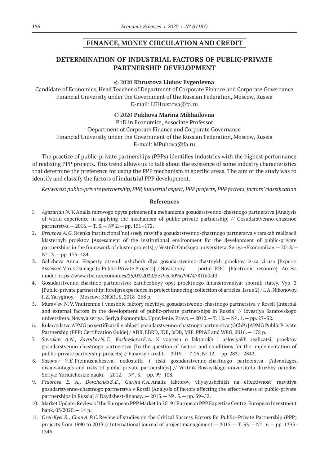### **FINANCE, MONEY CIRCULATION AND CREDIT**

### **DETERMINATION OF INDUSTRIAL FACTORS OF PUBLIC-PRIVATE PARTNERSHIP DEVELOPMENT**

#### © 2020 **Khrustova Liubov Evgenievna**

Candidate of Economics, Head Teacher of Department of Corporate Finance and Corporate Governance Financial University under the Government of the Russian Federation, Moscow, Russia E-mail: LEHrustova@fa.ru

### © 2020 **Pukhova Marina Mikhailovna**

PhD in Economics, Associate Professor Department of Corporate Finance and Corporate Governance Financial University under the Government of the Russian Federation, Moscow, Russia E-mail: MPuhova@fa.ru

The practice of public-private partnerships (PPPs) identifies industries with the highest performance of realizing PPP projects. This trend allows us to talk about the existence of some industry characteristics that determine the preference for using the PPP mechanism in specific areas. The aim of the study was to identify and classify the factors of industrial PPP development.

*Keywords: public-private partnership, PPP, industrial aspect, PPP projects, PPP factors, factors' classification*

#### **References**

- 1. *Agazarjan N.V.*Analiz mirovogo opyta primenenija mehanizma gosudarstvenno-chastnogo partnerstva [Analysis of world experience in applying the mechanism of public-private partnership] // Gosudarstvenno-chastnoe partnerstvo.— 2016.— Т. 3.—№ 2.— pp. 151–172.
- 2. *Breusova A.G.*Ocenka institucional'noj sredy razvitija gosudarstvenno-chastnogo partnerstva v ramkah realizacii klasternyh proektov [Assessment of the institutional environment for the development of public-private partnerships in the framework of cluster projects] // Vestnik Omskogo universiteta. Seriya «Ekonomika». -- 2018. --№ . 3.— pp. 173–184.
- 3. Gal'cheva Anna. Eksperty otsenili ushcherb dlya gosudarstvenno-chastnykh proektov iz-za virusa [Experts Assessed Virus Damage to Public-Private Projects]. / Novostnoy portal RBС. [Electronic resource]. Access mode: https://www.rbc.ru/economics/25/03/2020/5e79ec309a79474781fd0af3.
- 4. Gosudarstvenno-chastnoe partnerstvo: zarubezhnyy opyt proektnogo finansirovaniya: sbornik statey. Vyp. 2 [Public-private partnership: foreign experience in project financing: collection of articles. Issue 2] / I.A.Nikonovoy, I.Z.Yaryginoy.— Moscow: KNORUS, 2018–268 p.
- 5. Murav'ev N.V.Vnutrennie i vneshnie faktory razvitiya gosudarstvenno-chastnogo partnerstva v Rossii [Internal and external factors in the development of public-private partnerships in Russia] // Izvestiya Saratovskogo universiteta. Novaya seriya. Seriya Ekonomika. Upravlenie. Pravo.— 2012.— Т. 12.—№ . 1.— pp. 27–32.
- 6. Rukovodstvo APMG po sertifikatsii v oblasti gosudarstvenno-chastnogo partnerstva (GChP) [APMG Public Private Partnership (PPP) Certification Guide] / ADB, EBRD, IDB, IsDB, MIF, PPIAF and WBG, 2016.— 178 p.
- 7. *Savrukov A.N., Savrukov N.T., Kozlovskaya E.A.* K voprosu o faktorakh i usloviyakh realizatsii proektov gosudarstvenno-chastnogo partnerstva [To the question of factors and conditions for the implementation of public-private partnership projects] // Finansy i kredit.— 2019.— Т. 25, № 12.— pp. 2831–2842.
- 8. *Sazonov V.E.*Preimushchestva, nedostatki i riski gosudarstvenno-chastnogo partnerstva [Advantages, disadvantages and risks of public-private partnerships] // Vestnik Rossiyskogo universiteta druzhby narodov. Seriya: Yuridicheskie nauki.— 2012.—№ . 3.— pp. 99–108.
- 9. *Fedorova E. A., Dovzhenko S.E., GurinaV.A.*Analiz faktorov, vliyayushchikh na effektivnost' razvitiya gosudarstvenno-chastnogo partnerstva v Rossii [Analysis of factors affecting the effectiveness of public-private partnerships in Russia] // Daydzhest-finansy..— 2013.—№ . 5.— pp. 39–52.
- 10. Market Update. Review of the European PPP Market in 2019 / European PPP Expertise Centre. European Investment bank, 03/2020.— 14 p.
- 11. *Osei-Kyei R., ChanA.P.C.*Review of studies on the Critical Success Factors for Public–Private Partnership (PPP) projects from 1990 to 2013 // International journal of project management. — 2015. — T. 33. —  $N^{\circ}$ . 6. — pp. 1335– 1346.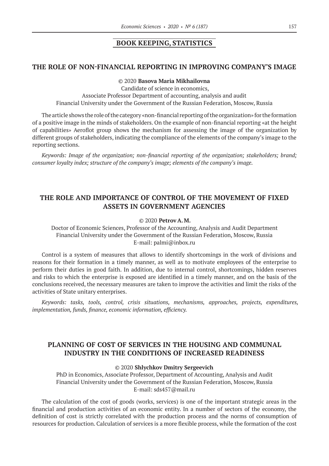### **BOOK KEEPING, STATISTICS**

### **THE ROLE OF NON-FINANCIAL REPORTING IN IMPROVING COMPANY'S IMAGE**

© 2020 **Basova Maria Mikhailovna**

Candidate of science in economics, Associate Professor Department of accounting, analysis and audit Financial University under the Government of the Russian Federation, Moscow, Russia

The article shows the role of the category «non-financial reporting of the organization» for the formation of a positive image in the minds of stakeholders. On the example of non-financial reporting «at the height of capabilities» Aeroflot group shows the mechanism for assessing the image of the organization by different groups of stakeholders, indicating the compliance of the elements of the company's image to the reporting sections.

*Keywords: Image of the organization; non-financial reporting of the organization; stakeholders; brand; consumer loyalty index; structure of the company's image; elements of the company's image.*

# **THE ROLE AND IMPORTANCE OF CONTROL OF THE MOVEMENT OF FIXED ASSETS IN GOVERNMENT AGENCIES**

### © 2020 **Petrov A.M.**

Doctor of Economic Sciences, Professor of the Accounting, Analysis and Audit Department Financial University under the Government of the Russian Federation, Moscow, Russia E-mail: palmi@inbox.ru

Control is a system of measures that allows to identify shortcomings in the work of divisions and reasons for their formation in a timely manner, as well as to motivate employees of the enterprise to perform their duties in good faith. In addition, due to internal control, shortcomings, hidden reserves and risks to which the enterprise is exposed are identified in a timely manner, and on the basis of the conclusions received, the necessary measures are taken to improve the activities and limit the risks of the activities of State unitary enterprises.

*Keywords: tasks, tools, control, crisis situations, mechanisms, approaches, projects, expenditures, implementation, funds, finance, economic information, efficiency.*

# **PLANNING OF COST OF SERVICES IN THE HOUSING AND COMMUNAL INDUSTRY IN THE CONDITIONS OF INCREASED READINESS**

#### © 2020 **Shlychkov Dmitry Sergeevich**

PhD in Economics, Associate Professor, Department of Accounting, Analysis and Audit Financial University under the Government of the Russian Federation, Moscow, Russia E-mail: sds457@mail.ru

The calculation of the cost of goods (works, services) is one of the important strategic areas in the financial and production activities of an economic entity. In a number of sectors of the economy, the definition of cost is strictly correlated with the production process and the norms of consumption of resources for production. Calculation of services is a more flexible process, while the formation of the cost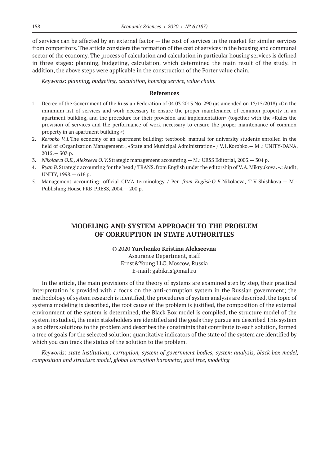of services can be affected by an external factor — the cost of services in the market for similar services from competitors. The article considers the formation of the cost of services in the housing and communal sector of the economy. The process of calculation and calculation in particular housing services is defined in three stages: planning, budgeting, calculation, which determined the main result of the study. In addition, the above steps were applicable in the construction of the Porter value chain.

*Keywords: planning, budgeting, calculation, housing service, value chain.*

#### **References**

- 1. Decree of the Government of the Russian Federation of 04.03.2013 No. 290 (as amended on 12/15/2018) «On the minimum list of services and work necessary to ensure the proper maintenance of common property in an apartment building, and the procedure for their provision and implementation» (together with the «Rules the provision of services and the performance of work necessary to ensure the proper maintenance of common property in an apartment building «)
- 2. *Korobko V.I.*The economy of an apartment building: textbook. manual for university students enrolled in the field of «Organization Management», «State and Municipal Administration» / V.I.Korobko.— M .: UNITY-DANA, 2015.— 303 p.
- 3. *Nikolaeva O.E., Alekseeva O.V.*Strategic management accounting.— M.: URSS Editorial, 2003.— 304 p.
- 4. *Ryan B.*Strategic accounting for the head / TRANS. from English under the editorship of V.A.Mikryukova. -.: Audit, UNITY, 1998.— 616 p.
- 5. Management accounting: official CIMA terminology / Per. *from English O.E.*Nikolaeva, T.V.Shishkova.— M.: Publishing House FKB-PRESS, 2004.— 200 p.

# **MODELING AND SYSTEM APPROACH TO THE PROBLEM OF CORRUPTION IN STATE AUTHORITIES**

### © 2020 **Yurchenko Kristina Alekseevna**

Assurance Department, staff Ernst&Young LLC, Moscow, Russia E-mail: gabikris@mail.ru

In the article, the main provisions of the theory of systems are examined step by step, their practical interpretation is provided with a focus on the anti-corruption system in the Russian government; the methodology of system research is identified, the procedures of system analysis are described, the topic of systems modeling is described, the root cause of the problem is justified, the composition of the external environment of the system is determined, the Black Box model is compiled, the structure model of the system is studied, the main stakeholders are identified and the goals they pursue are described This system also offers solutions to the problem and describes the constraints that contribute to each solution, formed a tree of goals for the selected solution; quantitative indicators of the state of the system are identified by which you can track the status of the solution to the problem.

*Keywords: state institutions, corruption, system of government bodies, system analysis, black box model, composition and structure model, global corruption barometer, goal tree, modeling*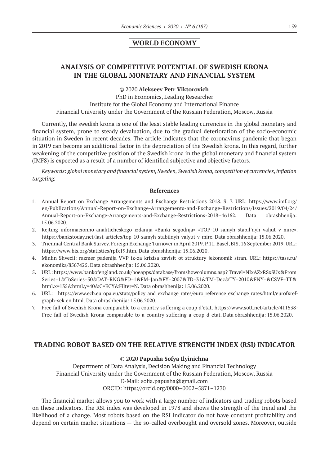### **WORLD ECONOMY**

# **ANALYSIS OF COMPETITIVE POTENTIAL OF SWEDISH KRONA IN THE GLOBAL MONETARY AND FINANCIAL SYSTEM**

© 2020 **Alekseev Petr Viktorovich**

PhD in Economics, Leading Researcher Institute for the Global Economy and International Finance Financial University under the Government of the Russian Federation, Moscow, Russia

Currently, the swedish krona is one of the least stable leading currencies in the global monetary and financial system, prone to steady devaluation, due to the gradual deterioration of the socio-economic situation in Sweden in recent decades. The article indicates that the coronavirus pandemic that began in 2019 can become an additional factor in the depreciation of the Swedish krona. In this regard, further weakening of the competitive position of the Swedish krona in the global monetary and financial system (IMFS) is expected as a result of a number of identified subjective and objective factors.

*Keywords: global monetary and financial system, Sweden, Swedish krona, competition of currencies, inflation targeting.*

#### **References**

- 1. Annual Report on Exchange Arrangements and Exchange Restrictions 2018. S. 7. URL: https://www.imf.org/ en/Publications/Annual-Report-on-Exchange-Arrangements-and-Exchange-Restrictions/Issues/2019/04/24/ Annual-Report-on-Exchange-Arrangements-and-Exchange-Restrictions‑2018–46162. Data obrashhenija: 15.06.2020.
- 2. Rejting informacionno-analiticheskogo izdanija «Banki segodnja» «TOP‑10 samyh stabil'nyh valjut v mire». https://bankstoday.net/last-articles/top‑10‑samyh-stabilnyh-valyut-v-mire. Data obrashhenija: 15.06.2020.
- 3. Triennial Central Bank Survey. Foreign Exchange Turnover in April 2019. P.11. Basel, BIS, 16 September 2019. URL: https://www.bis.org/statistics/rpfx19.htm. Data obrashhenija: 15.06.2020.
- 4. Minfin Shvecii: razmer padenija VVP iz-za krizisa zavisit ot struktury jekonomik stran. URL: https://tass.ru/ ekonomika/8567425. Data obrashhenija: 15.06.2020.
- 5. URL: https://www.bankofengland.co.uk/boeapps/database/fromshowcolumns.asp? Travel=NIxAZxRSxSUx&From Series=1&ToSeries=50&DAT=RNG&FD=1&FM=Jan&FY=2007&TD=31&TM=Dec&TY=2010&FNY=&CSVF=TT& html.x=135&html.y=40&C=ECY&Filter=N. Data obrashhenija: 15.06.2020.
- 6. URL: https://www.ecb.europa.eu/stats/policy and exchange rates/euro reference exchange rates/html/eurofxrefgraph-sek.en.html. Data obrashhenija: 15.06.2020.
- 7. Free fall of Swedish Krona comparable to a country suffering a coup d'etat. https://www.sott.net/article/411538- Free-fall-of-Swedish-Krona-comparable-to-a-country-suffering-a-coup-d-etat. Data obrashhenija: 15.06.2020.

### **TRADING ROBOT BASED ON THE RELATIVE STRENGTH INDEX (RSI) INDICATOR**

#### © 2020 **Papusha Sofya Ilyinichna**

Department of Data Analysis, Decision Making and Financial Technology Financial University under the Government of the Russian Federation, Moscow, Russia E-Mail: sofia.papusha@gmail.com ORCID: https://orcid.org/0000–0002–5871–1230

The financial market allows you to work with a large number of indicators and trading robots based on these indicators. The RSI index was developed in 1978 and shows the strength of the trend and the likelihood of a change. Most robots based on the RSI indicator do not have constant profitability and depend on certain market situations — the so-called overbought and oversold zones. Moreover, outside